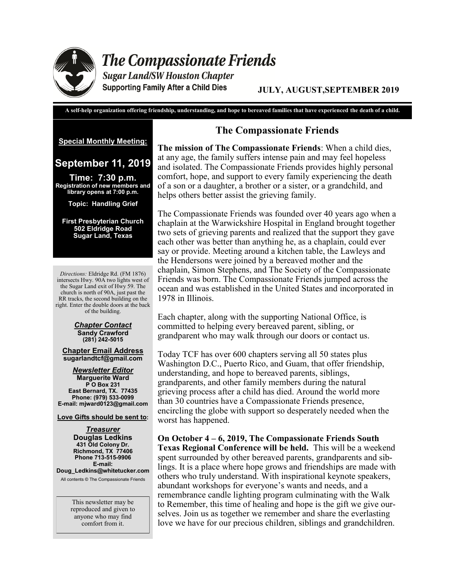

**The Compassionate Friends** 

**Sugar Land/SW Houston Chapter Supporting Family After a Child Dies** 

# **JULY, AUGUST,SEPTEMBER 2019**

**A self-help organization offering friendship, understanding, and hope to bereaved families that have experienced the death of a child.**

**Special Monthly Meeting:** 

# **September 11, 2019**

**Time: 7:30 p.m. Registration of new members and library opens at 7:00 p.m.** 

**Topic: Handling Grief**

**First Presbyterian Church 502 Eldridge Road Sugar Land, Texas**

*Directions:* Eldridge Rd. (FM 1876) intersects Hwy. 90A two lights west of the Sugar Land exit of Hwy 59. The church is north of 90A, just past the RR tracks, the second building on the right. Enter the double doors at the back of the building.

#### *Chapter Contact* **Sandy Crawford (281) 242-5015**

**Chapter Email Address sugarlandtcf@gmail.com**

*Newsletter Editor* **Marguerite Ward P O Box 231 East Bernard, TX. 77435 Phone: (979) 533-0099 E-mail: mjward0123@gmail.com**

**Love Gifts should be sent to:**

*Treasurer* **Douglas Ledkins 431 Old Colony Dr. Richmond, TX 77406 Phone 713-515-9906 E-mail: Doug\_Ledkins@whitetucker.com**

All contents © The Compassionate Friends

This newsletter may be reproduced and given to anyone who may find comfort from it.

# **The Compassionate Friends**

**The mission of The Compassionate Friends**: When a child dies, at any age, the family suffers intense pain and may feel hopeless and isolated. The Compassionate Friends provides highly personal comfort, hope, and support to every family experiencing the death of a son or a daughter, a brother or a sister, or a grandchild, and helps others better assist the grieving family.

The Compassionate Friends was founded over 40 years ago when a chaplain at the Warwickshire Hospital in England brought together two sets of grieving parents and realized that the support they gave each other was better than anything he, as a chaplain, could ever say or provide. Meeting around a kitchen table, the Lawleys and the Hendersons were joined by a bereaved mother and the chaplain, Simon Stephens, and The Society of the Compassionate Friends was born. The Compassionate Friends jumped across the ocean and was established in the United States and incorporated in 1978 in Illinois.

Each chapter, along with the supporting National Office, is committed to helping every bereaved parent, sibling, or grandparent who may walk through our doors or contact us.

Today TCF has over 600 chapters serving all 50 states plus Washington D.C., Puerto Rico, and Guam, that offer friendship, understanding, and hope to bereaved parents, siblings, grandparents, and other family members during the natural grieving process after a child has died. Around the world more than 30 countries have a Compassionate Friends presence, encircling the globe with support so desperately needed when the worst has happened.

**On October 4 – 6, 2019, The Compassionate Friends South Texas Regional Conference will be held.** This will be a weekend spent surrounded by other bereaved parents, grandparents and siblings. It is a place where hope grows and friendships are made with others who truly understand. With inspirational keynote speakers, abundant workshops for everyone's wants and needs, and a remembrance candle lighting program culminating with the Walk to Remember, this time of healing and hope is the gift we give ourselves. Join us as together we remember and share the everlasting love we have for our precious children, siblings and grandchildren.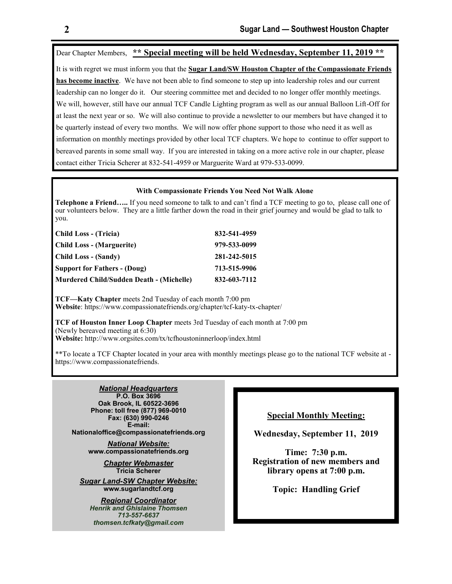Dear Chapter Members, **\*\* Special meeting will be held Wednesday, September 11, 2019 \*\*** It is with regret we must inform you that the **Sugar Land/SW Houston Chapter of the Compassionate Friends has become inactive**. We have not been able to find someone to step up into leadership roles and our current leadership can no longer do it. Our steering committee met and decided to no longer offer monthly meetings. We will, however, still have our annual TCF Candle Lighting program as well as our annual Balloon Lift-Off for at least the next year or so. We will also continue to provide a newsletter to our members but have changed it to be quarterly instead of every two months. We will now offer phone support to those who need it as well as information on monthly meetings provided by other local TCF chapters. We hope to continue to offer support to bereaved parents in some small way. If you are interested in taking on a more active role in our chapter, please contact either Tricia Scherer at 832-541-4959 or Marguerite Ward at 979-533-0099.

#### **With Compassionate Friends You Need Not Walk Alone**

**Telephone a Friend…..** If you need someone to talk to and can't find a TCF meeting to go to, please call one of our volunteers below. They are a little farther down the road in their grief journey and would be glad to talk to you.

| Child Loss - (Tricia)                    | 832-541-4959 |
|------------------------------------------|--------------|
| <b>Child Loss - (Marguerite)</b>         | 979-533-0099 |
| Child Loss - (Sandy)                     | 281-242-5015 |
| <b>Support for Fathers - (Doug)</b>      | 713-515-9906 |
| Murdered Child/Sudden Death - (Michelle) | 832-603-7112 |

**TCF—Katy Chapter** meets 2nd Tuesday of each month 7:00 pm **Website**: https://www.compassionatefriends.org/chapter/tcf-katy-tx-chapter/

**TCF of Houston Inner Loop Chapter** meets 3rd Tuesday of each month at 7:00 pm (Newly bereaved meeting at 6:30) **Website:** http://www.orgsites.com/tx/tcfhoustoninnerloop/index.html

\*\*To locate a TCF Chapter located in your area with monthly meetings please go to the national TCF website at https://www.compassionatefriends.

*National Headquarters* **P.O. Box 3696 Oak Brook, IL 60522-3696 Phone: toll free (877) 969-0010 Fax: (630) 990-0246 E-mail: Nationaloffice@compassionatefriends.org**

> *National Website:*  **www.compassionatefriends.org**

> > *Chapter Webmaster* **Tricia Scherer**

*Sugar Land-SW Chapter Website:* **www.sugarlandtcf.org**

*Regional Coordinator Henrik and Ghislaine Thomsen 713-557-6637 thomsen.tcfkaty@gmail.com*

# **Special Monthly Meeting:**

**Wednesday, September 11, 2019**

**Time: 7:30 p.m. Registration of new members and library opens at 7:00 p.m.** 

**Topic: Handling Grief**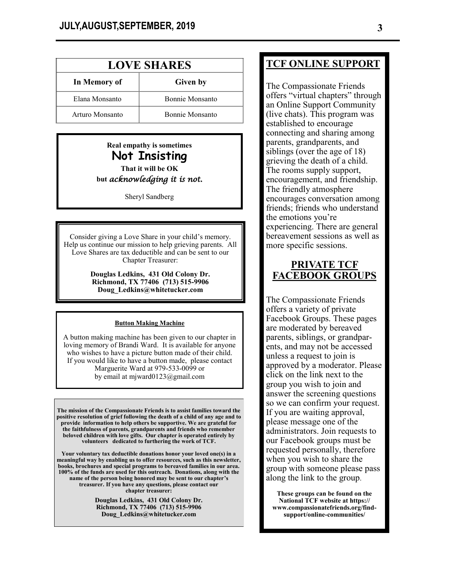| <b>LOVE SHARES</b> |                        |  |
|--------------------|------------------------|--|
| In Memory of       | Given by               |  |
| Elana Monsanto     | <b>Ronnie Monsanto</b> |  |
| Arturo Monsanto    | <b>Ronnie Monsanto</b> |  |

# **Real empathy is sometimes Not Insisting That it will be OK but** *acknowledging it is not.*

Sheryl Sandberg

Consider giving a Love Share in your child's memory. Help us continue our mission to help grieving parents. All Love Shares are tax deductible and can be sent to our Chapter Treasurer:

> **Douglas Ledkins, 431 Old Colony Dr. Richmond, TX 77406 (713) 515-9906 Doug\_Ledkins@whitetucker.com**

#### **Button Making Machine**

A button making machine has been given to our chapter in loving memory of Brandi Ward. It is available for anyone who wishes to have a picture button made of their child. If you would like to have a button made, please contact Marguerite Ward at 979-533-0099 or by email at mjward0123@gmail.com

**The mission of the Compassionate Friends is to assist families toward the positive resolution of grief following the death of a child of any age and to provide information to help others be supportive. We are grateful for the faithfulness of parents, grandparents and friends who remember beloved children with love gifts. Our chapter is operated entirely by volunteers dedicated to furthering the work of TCF.** 

**Your voluntary tax deductible donations honor your loved one(s) in a meaningful way by enabling us to offer resources, such as this newsletter, books, brochures and special programs to bereaved families in our area. 100% of the funds are used for this outreach. Donations, along with the name of the person being honored may be sent to our chapter's treasurer. If you have any questions, please contact our chapter treasurer:** 

> **Douglas Ledkins, 431 Old Colony Dr. Richmond, TX 77406 (713) 515-9906 Doug\_Ledkins@whitetucker.com**

# **TCF ONLINE SUPPORT**

The Compassionate Friends offers "virtual chapters" through an Online Support Community (live chats). This program was established to encourage connecting and sharing among parents, grandparents, and siblings (over the age of 18) grieving the death of a child. The rooms supply support, encouragement, and friendship. The friendly atmosphere encourages conversation among friends; friends who understand the emotions you're experiencing. There are general bereavement sessions as well as more specific sessions.

# **PRIVATE TCF FACEBOOK GROUPS**

The Compassionate Friends offers a variety of private Facebook Groups. These pages are moderated by bereaved parents, siblings, or grandparents, and may not be accessed unless a request to join is approved by a moderator. Please click on the link next to the group you wish to join and answer the screening questions so we can confirm your request. If you are waiting approval, please message one of the administrators. Join requests to our Facebook groups must be requested personally, therefore when you wish to share the group with someone please pass along the link to the group.

**These groups can be found on the National TCF website at https:// www.compassionatefriends.org/findsupport/online-communities/**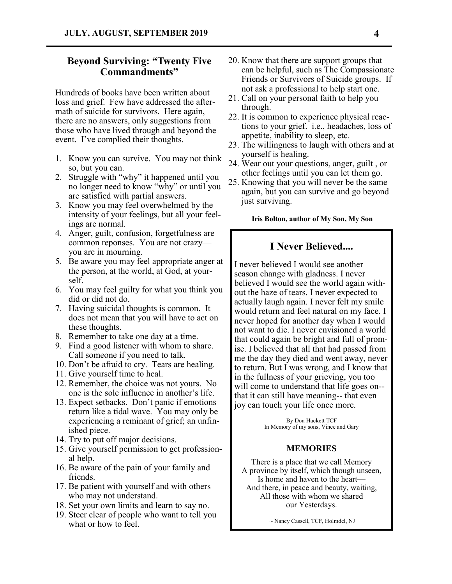# **Beyond Surviving: "Twenty Five Commandments"**

Hundreds of books have been written about loss and grief. Few have addressed the aftermath of suicide for survivors. Here again, there are no answers, only suggestions from those who have lived through and beyond the event. I've complied their thoughts.

- 1. Know you can survive. You may not think so, but you can.
- 2. Struggle with "why" it happened until you no longer need to know "why" or until you are satisfied with partial answers.
- 3. Know you may feel overwhelmed by the intensity of your feelings, but all your feelings are normal.
- 4. Anger, guilt, confusion, forgetfulness are common reponses. You are not crazy you are in mourning.
- 5. Be aware you may feel appropriate anger at the person, at the world, at God, at yourself.
- 6. You may feel guilty for what you think you did or did not do.
- 7. Having suicidal thoughts is common. It does not mean that you will have to act on these thoughts.
- 8. Remember to take one day at a time.
- 9. Find a good listener with whom to share. Call someone if you need to talk.
- 10. Don't be afraid to cry. Tears are healing.
- 11. Give yourself time to heal.
- 12. Remember, the choice was not yours. No one is the sole influence in another's life.
- 13. Expect setbacks. Don't panic if emotions return like a tidal wave. You may only be experiencing a reminant of grief; an unfinished piece.
- 14. Try to put off major decisions.
- 15. Give yourself permission to get professional help.
- 16. Be aware of the pain of your family and friends.
- 17. Be patient with yourself and with others who may not understand.
- 18. Set your own limits and learn to say no.
- 19. Steer clear of people who want to tell you what or how to feel.
- 20. Know that there are support groups that can be helpful, such as The Compassionate Friends or Survivors of Suicide groups. If not ask a professional to help start one.
- 21. Call on your personal faith to help you through.
- 22. It is common to experience physical reactions to your grief. i.e., headaches, loss of appetite, inability to sleep, etc.
- 23. The willingness to laugh with others and at yourself is healing.
- 24. Wear out your questions, anger, guilt , or other feelings until you can let them go.
- 25. Knowing that you will never be the same again, but you can survive and go beyond just surviving.

**Iris Bolton, author of My Son, My Son**

# **I Never Believed....**

I never believed I would see another season change with gladness. I never believed I would see the world again without the haze of tears. I never expected to actually laugh again. I never felt my smile would return and feel natural on my face. I never hoped for another day when I would not want to die. I never envisioned a world that could again be bright and full of promise. I believed that all that had passed from me the day they died and went away, never to return. But I was wrong, and I know that in the fullness of your grieving, you too will come to understand that life goes on- that it can still have meaning-- that even joy can touch your life once more.

> By Don Hackett TCF In Memory of my sons, Vince and Gary

### **MEMORIES**

There is a place that we call Memory A province by itself, which though unseen, Is home and haven to the heart— And there, in peace and beauty, waiting, All those with whom we shared our Yesterdays.

~ Nancy Cassell, TCF, Holmdel, NJ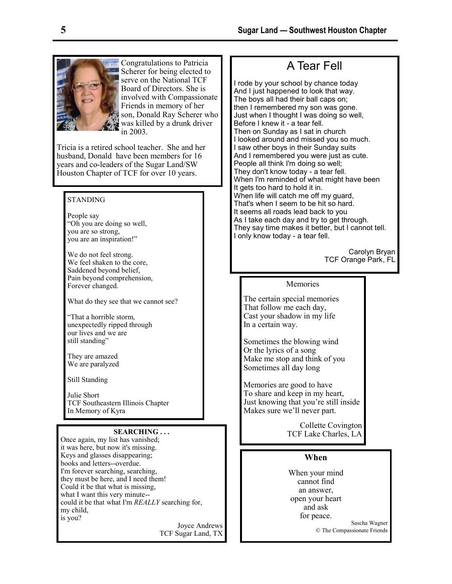

Congratulations to Patricia Scherer for being elected to serve on the National TCF Board of Directors. She is involved with Compassionate Friends in memory of her son, Donald Ray Scherer who was killed by a drunk driver in 2003.

Tricia is a retired school teacher. She and her husband, Donald have been members for 16 years and co-leaders of the Sugar Land/SW Houston Chapter of TCF for over 10 years.

## STANDING

People say "Oh you are doing so well, you are so strong, you are an inspiration!"

We do not feel strong. We feel shaken to the core, Saddened beyond belief, Pain beyond comprehension, Forever changed.

What do they see that we cannot see?

"That a horrible storm, unexpectedly ripped through our lives and we are still standing"

They are amazed We are paralyzed

Still Standing

Julie Short TCF Southeastern Illinois Chapter In Memory of Kyra

#### **SEARCHING . . .**

Once again, my list has vanished; it was here, but now it's missing. Keys and glasses disappearing; books and letters--overdue. I'm forever searching, searching, they must be here, and I need them! Could it be that what is missing, what I want this very minute- could it be that what I'm *REALLY* searching for, my child, is you?

> Joyce Andrews TCF Sugar Land, TX

# A Tear Fell

I rode by your school by chance today And I just happened to look that way. The boys all had their ball caps on; then I remembered my son was gone. Just when I thought I was doing so well, Before I knew it - a tear fell. Then on Sunday as I sat in church I looked around and missed you so much. I saw other boys in their Sunday suits And I remembered you were just as cute. People all think I'm doing so well; They don't know today - a tear fell. When I'm reminded of what might have been It gets too hard to hold it in. When life will catch me off my guard, That's when I seem to be hit so hard. It seems all roads lead back to you As I take each day and try to get through. They say time makes it better, but I cannot tell. I only know today - a tear fell.

> Carolyn Bryan TCF Orange Park, FL

## Memories

The certain special memories That follow me each day, Cast your shadow in my life In a certain way.

Sometimes the blowing wind Or the lyrics of a song Make me stop and think of you Sometimes all day long

Memories are good to have To share and keep in my heart, Just knowing that you're still inside Makes sure we'll never part.

> Collette Covington TCF Lake Charles, LA

# **When**

When your mind cannot find an answer, open your heart and ask for peace.

Sascha Wagner © The Compassionate Friends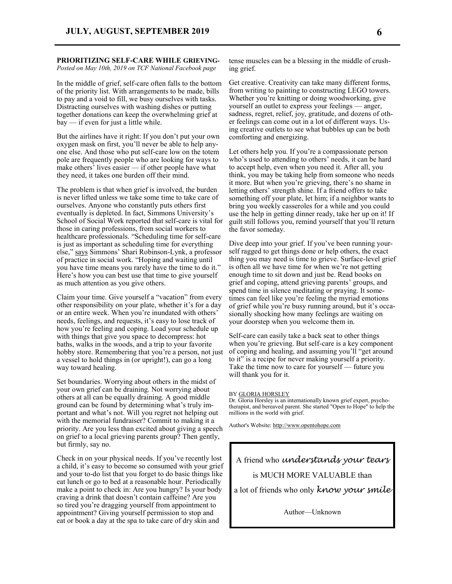#### **PRIORITIZING SELF-CARE WHILE GRIEVING-***Posted on May 10th, 2019 on TCF National Facebook page*

In the middle of grief, self-care often falls to the bottom of the priority list. With arrangements to be made, bills to pay and a void to fill, we busy ourselves with tasks. Distracting ourselves with washing dishes or putting together donations can keep the overwhelming grief at bay — if even for just a little while.

But the airlines have it right: If you don't put your own oxygen mask on first, you'll never be able to help anyone else. And those who put self-care low on the totem pole are frequently people who are looking for ways to make others' lives easier — if other people have what they need, it takes one burden off their mind.

The problem is that when grief is involved, the burden is never lifted unless we take some time to take care of ourselves. Anyone who constantly puts others first eventually is depleted. In fact, Simmons University's School of Social Work reported that self-care is vital for those in caring professions, from social workers to healthcare professionals. "Scheduling time for self-care is just as important as scheduling time for everything else," [says](https://socialwork.simmons.edu/blog/self-care-for-social-service-professionals/) Simmons' Shari Robinson-Lynk, a professor of practice in social work. "Hoping and waiting until you have time means you rarely have the time to do it." Here's how you can best use that time to give yourself as much attention as you give others.

Claim your time. Give yourself a "vacation" from every other responsibility on your plate, whether it's for a day or an entire week. When you're inundated with others' needs, feelings, and requests, it's easy to lose track of how you're feeling and coping. Load your schedule up with things that give you space to decompress: hot baths, walks in the woods, and a trip to your favorite hobby store. Remembering that you're a person, not just a vessel to hold things in (or upright!), can go a long way toward healing.

Set boundaries. Worrying about others in the midst of your own grief can be draining. Not worrying about others at all can be equally draining. A good middle ground can be found by determining what's truly important and what's not. Will you regret not helping out with the memorial fundraiser? Commit to making it a priority. Are you less than excited about giving a speech on grief to a local grieving parents group? Then gently, but firmly, say no.

Check in on your physical needs. If you've recently lost a child, it's easy to become so consumed with your grief and your to-do list that you forget to do basic things like eat lunch or go to bed at a reasonable hour. Periodically make a point to check in: Are you hungry? Is your body craving a drink that doesn't contain caffeine? Are you so tired you're dragging yourself from appointment to appointment? Giving yourself permission to stop and eat or book a day at the spa to take care of dry skin and

tense muscles can be a blessing in the middle of crushing grief.

Get creative. Creativity can take many different forms, from writing to painting to constructing LEGO towers. Whether you're knitting or doing woodworking, give yourself an outlet to express your feelings — anger, sadness, regret, relief, joy, gratitude, and dozens of other feelings can come out in a lot of different ways. Using creative outlets to see what bubbles up can be both comforting and energizing.

Let others help you. If you're a compassionate person who's used to attending to others' needs, it can be hard to accept help, even when you need it. After all, you think, you may be taking help from someone who needs it more. But when you're grieving, there's no shame in letting others' strength shine. If a friend offers to take something off your plate, let him; if a neighbor wants to bring you weekly casseroles for a while and you could use the help in getting dinner ready, take her up on it! If guilt still follows you, remind yourself that you'll return the favor someday.

Dive deep into your grief. If you've been running yourself ragged to get things done or help others, the exact thing you may need is time to grieve. Surface-level grief is often all we have time for when we're not getting enough time to sit down and just be. Read books on grief and coping, attend grieving parents' groups, and spend time in silence meditating or praying. It sometimes can feel like you're feeling the myriad emotions of grief while you're busy running around, but it's occasionally shocking how many feelings are waiting on your doorstep when you welcome them in.

Self-care can easily take a back seat to other things when you're grieving. But self-care is a key component of coping and healing, and assuming you'll "get around to it" is a recipe for never making yourself a priority. Take the time now to care for yourself — future you will thank you for it.

#### BY [GLORIA HORSLEY](https://www.compassionatefriends.org/blog/author/gloria-horsely/)

Dr. Gloria Horsley is an internationally known grief expert, psychotherapist, and bereaved parent. She started "Open to Hope" to help the millions in the world with grief.

Author's Website: [http://www.opentohope.com](http://www.opentohope.com/)

A friend who *understands your tears* is MUCH MORE VALUABLE than a lot of friends who only *know your smile*

Author—Unknown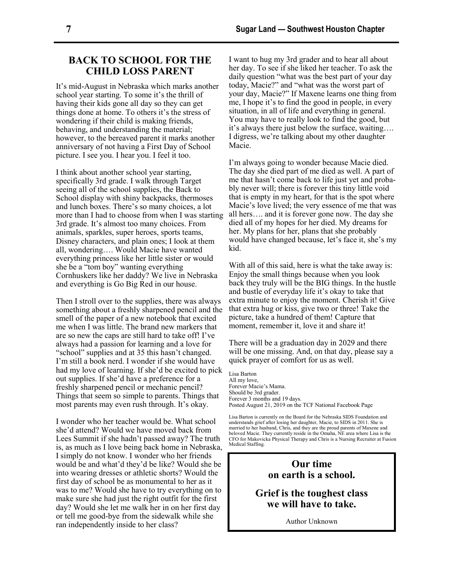# **BACK TO SCHOOL FOR THE CHILD LOSS PARENT**

It's mid-August in Nebraska which marks another school year starting. To some it's the thrill of having their kids gone all day so they can get things done at home. To others it's the stress of wondering if their child is making friends, behaving, and understanding the material; however, to the bereaved parent it marks another anniversary of not having a First Day of School picture. I see you. I hear you. I feel it too.

I think about another school year starting, specifically 3rd grade. I walk through Target seeing all of the school supplies, the Back to School display with shiny backpacks, thermoses and lunch boxes. There's so many choices, a lot more than I had to choose from when I was starting 3rd grade. It's almost too many choices. From animals, sparkles, super heroes, sports teams, Disney characters, and plain ones; I look at them all, wondering…. Would Macie have wanted everything princess like her little sister or would she be a "tom boy" wanting everything Cornhuskers like her daddy? We live in Nebraska and everything is Go Big Red in our house.

Then I stroll over to the supplies, there was always something about a freshly sharpened pencil and the smell of the paper of a new notebook that excited me when I was little. The brand new markers that are so new the caps are still hard to take off! I've always had a passion for learning and a love for "school" supplies and at 35 this hasn't changed. I'm still a book nerd. I wonder if she would have had my love of learning. If she'd be excited to pick out supplies. If she'd have a preference for a freshly sharpened pencil or mechanic pencil? Things that seem so simple to parents. Things that most parents may even rush through. It's okay.

I wonder who her teacher would be. What school she'd attend? Would we have moved back from Lees Summit if she hadn't passed away? The truth is, as much as I love being back home in Nebraska, I simply do not know. I wonder who her friends would be and what'd they'd be like? Would she be into wearing dresses or athletic shorts? Would the first day of school be as monumental to her as it was to me? Would she have to try everything on to make sure she had just the right outfit for the first day? Would she let me walk her in on her first day or tell me good-bye from the sidewalk while she ran independently inside to her class?

I want to hug my 3rd grader and to hear all about her day. To see if she liked her teacher. To ask the daily question "what was the best part of your day today, Macie?" and "what was the worst part of your day, Macie?" If Maxene learns one thing from me, I hope it's to find the good in people, in every situation, in all of life and everything in general. You may have to really look to find the good, but it's always there just below the surface, waiting…. I digress, we're talking about my other daughter Macie.

I'm always going to wonder because Macie died. The day she died part of me died as well. A part of me that hasn't come back to life just yet and probably never will; there is forever this tiny little void that is empty in my heart, for that is the spot where Macie's love lived; the very essence of me that was all hers…. and it is forever gone now. The day she died all of my hopes for her died. My dreams for her. My plans for her, plans that she probably would have changed because, let's face it, she's my kid.

With all of this said, here is what the take away is: Enjoy the small things because when you look back they truly will be the BIG things. In the hustle and bustle of everyday life it's okay to take that extra minute to enjoy the moment. Cherish it! Give that extra hug or kiss, give two or three! Take the picture, take a hundred of them! Capture that moment, remember it, love it and share it!

There will be a graduation day in 2029 and there will be one missing. And, on that day, please say a quick prayer of comfort for us as well.

Lisa Barton All my love, Forever Macie's Mama. Should be 3rd grader. Forever 3 months and 19 days. Posted August 21, 2019 on the TCF National Facebook Page

Lisa Barton is currently on the Board for the Nebraska SIDS Foundation and understands grief after losing her daughter, Macie, to SIDS in 2011. She is married to her husband, Chris, and they are the proud parents of Maxene and beloved Macie. They currently reside in the Omaha, NE area where Lisa is the CFO for Makovicka Physical Therapy and Chris is a Nursing Recruiter at Fusion Medical Staffing.

# **Our time on earth is a school.**

# **Grief is the toughest class we will have to take.**

Author Unknown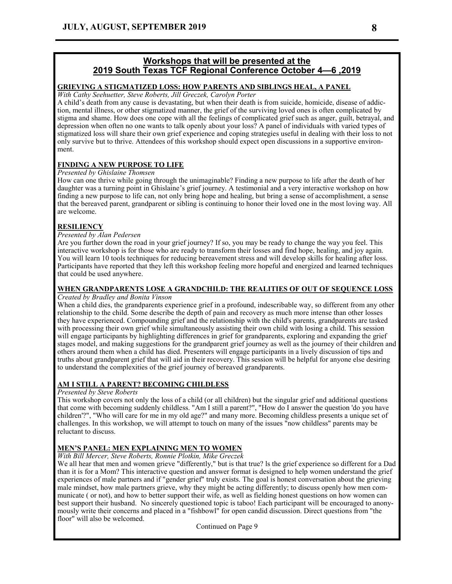# **Workshops that will be presented at the 2019 South Texas TCF Regional Conference October 4—6 ,2019**

### **GRIEVING A STIGMATIZED LOSS: HOW PARENTS AND SIBLINGS HEAL, A PANEL**

*With Cathy Seehuetter, Steve Roberts, Jill Greczek, Carolyn Porter*

A child's death from any cause is devastating, but when their death is from suicide, homicide, disease of addiction, mental illness, or other stigmatized manner, the grief of the surviving loved ones is often complicated by stigma and shame. How does one cope with all the feelings of complicated grief such as anger, guilt, betrayal, and depression when often no one wants to talk openly about your loss? A panel of individuals with varied types of stigmatized loss will share their own grief experience and coping strategies useful in dealing with their loss to not only survive but to thrive. Attendees of this workshop should expect open discussions in a supportive environment.

# **FINDING A NEW PURPOSE TO LIFE**

### *Presented by Ghislaine Thomsen*

How can one thrive while going through the unimaginable? Finding a new purpose to life after the death of her daughter was a turning point in Ghislaine's grief journey. A testimonial and a very interactive workshop on how finding a new purpose to life can, not only bring hope and healing, but bring a sense of accomplishment, a sense that the bereaved parent, grandparent or sibling is continuing to honor their loved one in the most loving way. All are welcome.

## **RESILIENCY**

### *Presented by Alan Pedersen*

Are you further down the road in your grief journey? If so, you may be ready to change the way you feel. This interactive workshop is for those who are ready to transform their losses and find hope, healing, and joy again. You will learn 10 tools techniques for reducing bereavement stress and will develop skills for healing after loss. Participants have reported that they left this workshop feeling more hopeful and energized and learned techniques that could be used anywhere.

### **WHEN GRANDPARENTS LOSE A GRANDCHILD: THE REALITIES OF OUT OF SEQUENCE LOSS**

#### *Created by Bradley and Bonita Vinson*

When a child dies, the grandparents experience grief in a profound, indescribable way, so different from any other relationship to the child. Some describe the depth of pain and recovery as much more intense than other losses they have experienced. Compounding grief and the relationship with the child's parents, grandparents are tasked with processing their own grief while simultaneously assisting their own child with losing a child. This session will engage participants by highlighting differences in grief for grandparents, exploring and expanding the grief stages model, and making suggestions for the grandparent grief journey as well as the journey of their children and others around them when a child has died. Presenters will engage participants in a lively discussion of tips and truths about grandparent grief that will aid in their recovery. This session will be helpful for anyone else desiring to understand the complexities of the grief journey of bereaved grandparents.

### **AM I STILL A PARENT? BECOMING CHILDLESS**

#### *Presented by Steve Roberts*

This workshop covers not only the loss of a child (or all children) but the singular grief and additional questions that come with becoming suddenly childless. "Am I still a parent?", "How do I answer the question 'do you have children'?", "Who will care for me in my old age?" and many more. Becoming childless presents a unique set of challenges. In this workshop, we will attempt to touch on many of the issues "now childless" parents may be reluctant to discuss.

# **MEN'S PANEL: MEN EXPLAINING MEN TO WOMEN**

#### *With Bill Mercer, Steve Roberts, Ronnie Plotkin, Mike Greczek*

We all hear that men and women grieve "differently," but is that true? ls the grief experience so different for a Dad than it is for a Mom? This interactive question and answer format is designed to help women understand the grief experiences of male partners and if "gender grief" truly exists. The goal is honest conversation about the grieving male mindset, how male partners grieve, why they might be acting differently; to discuss openly how men communicate ( or not), and how to better support their wife, as well as fielding honest questions on how women can best support their husband. No sincerely questioned topic is taboo! Each participant will be encouraged to anonymously write their concerns and placed in a "fishbowl" for open candid discussion. Direct questions from "the floor" will also be welcomed.

Continued on Page 9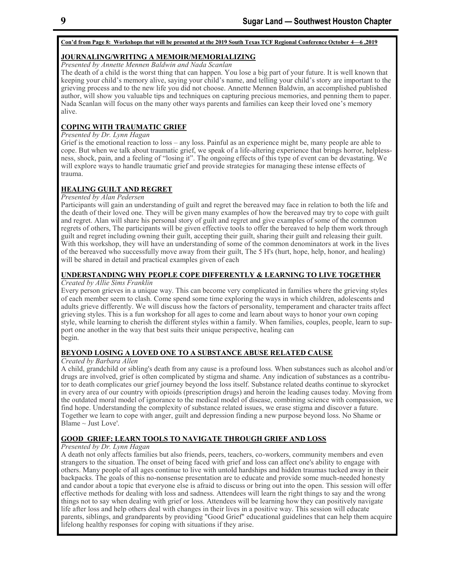#### **Con'd from Page 8: Workshops that will be presented at the 2019 South Texas TCF Regional Conference October 4—6 ,2019**

### **JOURNALING/WRITING A MEMOIR/MEMORIALIZING**

*Presented by Annette Mennen Baldwin and Nada Scanlan*

The death of a child is the worst thing that can happen. You lose a big part of your future. It is well known that keeping your child's memory alive, saying your child's name, and telling your child's story are important to the grieving process and to the new life you did not choose. Annette Mennen Baldwin, an accomplished published author, will show you valuable tips and techniques on capturing precious memories, and penning them to paper. Nada Scanlan will focus on the many other ways parents and families can keep their loved one's memory alive.

## **COPING WITH TRAUMATIC GRIEF**

### *Presented by Dr. Lynn Hagan*

Grief is the emotional reaction to loss – any loss. Painful as an experience might be, many people are able to cope. But when we talk about traumatic grief, we speak of a life-altering experience that brings horror, helplessness, shock, pain, and a feeling of "losing it". The ongoing effects of this type of event can be devastating. We will explore ways to handle traumatic grief and provide strategies for managing these intense effects of trauma.

# **HEALING GUILT AND REGRET**

### *Presented by Alan Pedersen*

Participants will gain an understanding of guilt and regret the bereaved may face in relation to both the life and the death of their loved one. They will be given many examples of how the bereaved may try to cope with guilt and regret. Alan will share his personal story of guilt and regret and give examples of some of the common regrets of others, The participants will be given effective tools to offer the bereaved to help them work through guilt and regret including owning their guilt, accepting their guilt, sharing their guilt and releasing their guilt. With this workshop, they will have an understanding of some of the common denominators at work in the lives of the bereaved who successfully move away from their guilt, The 5 H's (hurt, hope, help, honor, and healing) will be shared in detail and practical examples given of each

# **UNDERSTANDING WHY PEOPLE COPE DIFFERENTLY & LEARNING TO LIVE TOGETHER**

### *Created by Allie Sims Franklin*

Every person grieves in a unique way. This can become very complicated in families where the grieving styles of each member seem to clash. Come spend some time exploring the ways in which children, adolescents and adults grieve differently. We will discuss how the factors of personality, temperament and character traits affect grieving styles. This is a fun workshop for all ages to come and learn about ways to honor your own coping style, while learning to cherish the different styles within a family. When families, couples, people, learn to support one another in the way that best suits their unique perspective, healing can begin.

# **BEYOND LOSING A LOVED ONE TO A SUBSTANCE ABUSE RELATED CAUSE**

### *Created by Barbara Allen*

A child, grandchild or sibling's death from any cause is a profound loss. When substances such as alcohol and/or drugs are involved, grief is often complicated by stigma and shame. Any indication of substances as a contributor to death complicates our grief journey beyond the loss itself. Substance related deaths continue to skyrocket in every area of our country with opioids (prescription drugs) and heroin the leading causes today. Moving from the outdated moral model of ignorance to the medical model of disease, combining science with compassion, we find hope. Understanding the complexity of substance related issues, we erase stigma and discover a future. Together we learn to cope with anger, guilt and depression finding a new purpose beyond loss. No Shame or Blame  $\sim$  Just Love'.

### **GOOD GRIEF: LEARN TOOLS TO NAVIGATE THROUGH GRIEF AND LOSS**

#### *Presented by Dr. Lynn Hagan*

A death not only affects families but also friends, peers, teachers, co-workers, community members and even strangers to the situation. The onset of being faced with grief and loss can affect one's ability to engage with others. Many people of all ages continue to live with untold hardships and hidden traumas tucked away in their backpacks. The goals of this no-nonsense presentation are to educate and provide some much-needed honesty and candor about a topic that everyone else is afraid to discuss or bring out into the open. This session will offer effective methods for dealing with loss and sadness. Attendees will learn the right things to say and the wrong things not to say when dealing with grief or loss. Attendees will be learning how they can positively navigate life after loss and help others deal with changes in their lives in a positive way. This session will educate parents, siblings, and grandparents by providing "Good Grief" educational guidelines that can help them acquire lifelong healthy responses for coping with situations if they arise.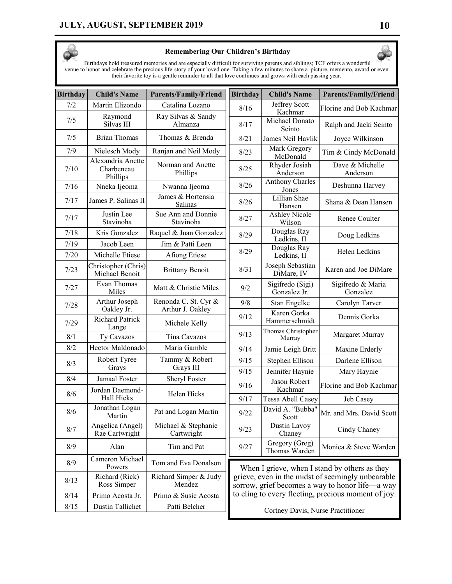

### **Remembering Our Children's Birthday**

Birthdays hold treasured memories and are especially difficult for surviving parents and siblings; TCF offers a wonderful venue to honor and celebrate the precious life-story of your loved one. Taking a few minutes to share a picture, memento, award or even their favorite toy is a gentle reminder to all that love continues and grows with each passing year.

| <b>Birthday</b> | <b>Child's Name</b>                         | <b>Parents/Family/Friend</b>             | <b>Birthday</b>                                                                                                                                             | <b>Child's Name</b>               | <b>Parents/Family/Friend</b>  |
|-----------------|---------------------------------------------|------------------------------------------|-------------------------------------------------------------------------------------------------------------------------------------------------------------|-----------------------------------|-------------------------------|
| 7/2             | Martin Elizondo                             | Catalina Lozano                          | 8/16                                                                                                                                                        | Jeffrey Scott<br>Kachmar          | Florine and Bob Kachmar       |
| 7/5             | Raymond<br>Silvas III                       | Ray Silvas & Sandy<br>Almanza            | 8/17                                                                                                                                                        | Michael Donato<br>Scinto          | Ralph and Jacki Scinto        |
| 7/5             | <b>Brian Thomas</b>                         | Thomas & Brenda                          | 8/21                                                                                                                                                        | James Neil Havlik                 | Joyce Wilkinson               |
| 7/9             | Nielesch Mody                               | Ranjan and Neil Mody                     | 8/23                                                                                                                                                        | Mark Gregory<br>McDonald          | Tim & Cindy McDonald          |
| 7/10            | Alexandria Anette<br>Charbeneau<br>Phillips | Norman and Anette<br>Phillips            | 8/25                                                                                                                                                        | Rhyder Josiah<br>Anderson         | Dave & Michelle<br>Anderson   |
| 7/16            | Nneka Ijeoma                                | Nwanna Ijeoma                            | 8/26                                                                                                                                                        | Anthony Charles<br>Jones          | Deshunna Harvey               |
| 7/17            | James P. Salinas II                         | James & Hortensia<br>Salinas             | 8/26                                                                                                                                                        | Lillian Shae<br>Hansen            | Shana & Dean Hansen           |
| 7/17            | Justin Lee<br>Stavinoha                     | Sue Ann and Donnie<br>Stavinoha          | 8/27                                                                                                                                                        | <b>Ashley Nicole</b><br>Wilson    | Renee Coulter                 |
| 7/18            | Kris Gonzalez                               | Raquel & Juan Gonzalez                   | 8/29                                                                                                                                                        | Douglas Ray<br>Ledkins, II        | Doug Ledkins                  |
| 7/19            | Jacob Leen                                  | Jim & Patti Leen                         | 8/29                                                                                                                                                        | Douglas Ray                       | Helen Ledkins                 |
| 7/20            | Michelle Etiese                             | Afiong Etiese                            |                                                                                                                                                             | Ledkins, II                       |                               |
| 7/23            | Christopher (Chris)<br>Michael Benoit       | <b>Brittany Benoit</b>                   | 8/31                                                                                                                                                        | Joseph Sebastian<br>DiMare, IV    | Karen and Joe DiMare          |
| 7/27            | Evan Thomas<br>Miles                        | Matt & Christie Miles                    | 9/2                                                                                                                                                         | Sigifredo (Sigi)<br>Gonzalez Jr.  | Sigifredo & Maria<br>Gonzalez |
| 7/28            | Arthur Joseph<br>Oakley Jr.                 | Renonda C. St. Cyr &<br>Arthur J. Oakley | 9/8                                                                                                                                                         | Stan Engelke                      | Carolyn Tarver                |
| 7/29            | <b>Richard Patrick</b><br>Lange             | Michele Kelly                            | 9/12                                                                                                                                                        | Karen Gorka<br>Hammerschmidt      | Dennis Gorka                  |
| 8/1             | Ty Cavazos                                  | Tina Cavazos                             | 9/13                                                                                                                                                        | Thomas Christopher<br>Murray      | Margaret Murray               |
| 8/2             | Hector Maldonado                            | Maria Gamble                             | 9/14                                                                                                                                                        | Jamie Leigh Britt                 | Maxine Erderly                |
| 8/3             | Robert Tyree                                | Tammy & Robert                           | 9/15                                                                                                                                                        | Stephen Ellison                   | Darlene Ellison               |
|                 | Grays                                       | Grays III                                | 9/15                                                                                                                                                        | Jennifer Haynie                   | Mary Haynie                   |
| 8/4             | Jamaal Foster<br>Jordan Daemond-            | Sheryl Foster                            | 9/16                                                                                                                                                        | Jason Robert<br>Kachmar           | Florine and Bob Kachmar       |
| 8/6             | <b>Hall Hicks</b>                           | Helen Hicks                              | 9/17                                                                                                                                                        | Tessa Abell Casey                 | Jeb Casey                     |
| 8/6             | Jonathan Logan<br>Martin                    | Pat and Logan Martin                     | 9/22                                                                                                                                                        | David A. "Bubba"<br>Scott         | Mr. and Mrs. David Scott      |
| 8/7             | Angelica (Angel)<br>Rae Cartwright          | Michael & Stephanie<br>Cartwright        | 9/23                                                                                                                                                        | Dustin Lavoy<br>Chaney            | Cindy Chaney                  |
| 8/9             | Alan                                        | Tim and Pat                              | 9/27                                                                                                                                                        | Gregory (Greg)<br>Thomas Warden   | Monica & Steve Warden         |
| 8/9             | Cameron Michael<br>Powers                   | Tom and Eva Donalson                     | When I grieve, when I stand by others as they                                                                                                               |                                   |                               |
| 8/13            | Richard (Rick)<br>Ross Simper               | Richard Simper & Judy<br>Mendez          | grieve, even in the midst of seemingly unbearable<br>sorrow, grief becomes a way to honor life—a way<br>to cling to every fleeting, precious moment of joy. |                                   |                               |
| 8/14            | Primo Acosta Jr.                            | Primo & Susie Acosta                     |                                                                                                                                                             |                                   |                               |
| 8/15            | Dustin Tallichet                            | Patti Belcher                            |                                                                                                                                                             | Cortney Davis, Nurse Practitioner |                               |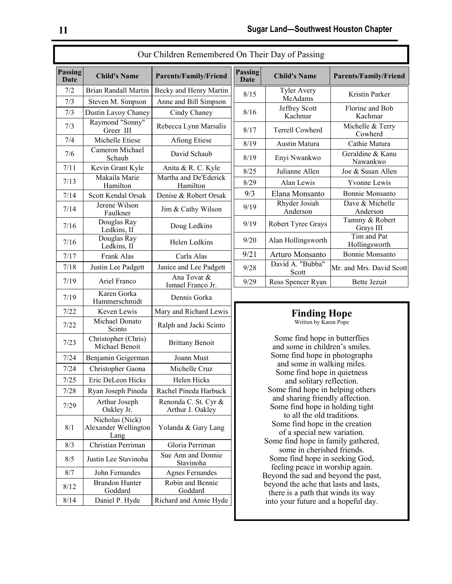| <b>Passing</b><br><b>Passing</b><br><b>Child's Name</b><br><b>Parents/Family/Friend</b><br><b>Child's Name</b><br>Date<br>Date<br>7/2<br>Brian Randall Martin<br>Becky and Henry Martin<br><b>Tyler Avery</b><br>8/15<br>McAdams<br>7/3<br>Steven M. Simpson<br>Anne and Bill Simpson<br>Jeffrey Scott<br>8/16<br>7/3<br>Dustin Lavoy Chaney<br>Cindy Chaney<br>Kachmar<br>Raymond "Sonny"<br>Rebecca Lynn Marsalis<br>7/3<br><b>Terrell Cowherd</b><br>8/17<br>Greer III<br>7/4<br>Michelle Etiese<br><b>Afiong Etiese</b><br>8/19<br>Austin Matura<br>Cameron Michael<br>David Schaub<br>7/6<br>8/19<br>Enyi Nwankwo<br>Schaub<br>7/11<br>Kevin Grant Kyle<br>Anita & R. C. Kyle<br>Julianne Allen<br>8/25<br>Makaila Marie<br>Martha and De'Ederick<br>7/13<br>Alan Lewis<br>8/29<br>Hamilton<br>Hamilton<br>9/3<br>7/14<br>Denise & Robert Orsak<br>Scott Kendal Orsak<br>Rhyder Josiah<br>Jerene Wilson<br>9/19<br>7/14<br>Jim & Cathy Wilson<br>Anderson<br>Faulkner<br>Douglas Ray<br>9/19<br>7/16<br>Doug Ledkins<br>Ledkins, II<br>Douglas Ray<br>9/20<br>7/16<br>Helen Ledkins<br>Ledkins, II<br>9/21<br>Arturo Monsanto<br>7/17<br>Frank Alas<br>Carla Alas<br>David A. "Bubba"<br>Janice and Lee Padgett<br>7/18<br>Justin Lee Padgett<br>9/28<br>Scott<br>Ana Tovar &<br>7/19<br>Ariel Franco<br>9/29<br>Ismael Franco Jr.<br>Karen Gorka<br>7/19<br>Dennis Gorka<br>Hammerschmidt<br>Keven Lewis<br>Mary and Richard Lewis<br>7/22<br>Finding<br>Michael Donato<br>7/22<br>Ralph and Jacki Scinto<br>Scinto<br>Christopher (Chris)<br>7/23<br><b>Brittany Benoit</b><br>Michael Benoit<br>7/24<br>Benjamin Geigerman<br>Joann Must<br>and some in w<br>Michelle Cruz<br>7/24<br>Christopher Gaona<br>Some find hop<br>7/25<br>Eric DeLeon Hicks<br>Helen Hicks<br>Rachel Pineda Harbuck<br>7/28<br>Ryan Joseph Pineda<br>and sharing frie<br>Arthur Joseph<br>Renonda C. St. Cyr &<br>7/29<br>Oakley Jr.<br>Arthur J. Oakley<br>to all the old<br>Nicholas (Nick)<br>8/1<br>Alexander Wellington<br>Yolanda & Gary Lang<br>Lang<br>Some find hope in<br>Christian Perriman<br>8/3<br>Gloria Perriman<br>some in cheris<br>Sue Ann and Donnie<br>Justin Lee Stavinoha<br>8/5<br>Stavinoha<br>feeling peace in<br>8/7<br>John Fernandes<br><b>Agnes Fernandes</b><br>Beyond the sad and<br><b>Brandon Hunter</b><br>Robin and Bennie<br>8/12<br>Goddard<br>Goddard<br>there is a path that<br>Richard and Annie Hyde<br>8/14<br>Daniel P. Hyde | Our Children Remembered On Their Day of Passing |  |  |                                   |                                   |  |
|------------------------------------------------------------------------------------------------------------------------------------------------------------------------------------------------------------------------------------------------------------------------------------------------------------------------------------------------------------------------------------------------------------------------------------------------------------------------------------------------------------------------------------------------------------------------------------------------------------------------------------------------------------------------------------------------------------------------------------------------------------------------------------------------------------------------------------------------------------------------------------------------------------------------------------------------------------------------------------------------------------------------------------------------------------------------------------------------------------------------------------------------------------------------------------------------------------------------------------------------------------------------------------------------------------------------------------------------------------------------------------------------------------------------------------------------------------------------------------------------------------------------------------------------------------------------------------------------------------------------------------------------------------------------------------------------------------------------------------------------------------------------------------------------------------------------------------------------------------------------------------------------------------------------------------------------------------------------------------------------------------------------------------------------------------------------------------------------------------------------------------------------------------------------------------------------------------------------------------------------------------------------------------------------------------------------------------------------------------------------------------------------------------------------------------------------------------|-------------------------------------------------|--|--|-----------------------------------|-----------------------------------|--|
|                                                                                                                                                                                                                                                                                                                                                                                                                                                                                                                                                                                                                                                                                                                                                                                                                                                                                                                                                                                                                                                                                                                                                                                                                                                                                                                                                                                                                                                                                                                                                                                                                                                                                                                                                                                                                                                                                                                                                                                                                                                                                                                                                                                                                                                                                                                                                                                                                                                            |                                                 |  |  |                                   |                                   |  |
|                                                                                                                                                                                                                                                                                                                                                                                                                                                                                                                                                                                                                                                                                                                                                                                                                                                                                                                                                                                                                                                                                                                                                                                                                                                                                                                                                                                                                                                                                                                                                                                                                                                                                                                                                                                                                                                                                                                                                                                                                                                                                                                                                                                                                                                                                                                                                                                                                                                            |                                                 |  |  |                                   |                                   |  |
|                                                                                                                                                                                                                                                                                                                                                                                                                                                                                                                                                                                                                                                                                                                                                                                                                                                                                                                                                                                                                                                                                                                                                                                                                                                                                                                                                                                                                                                                                                                                                                                                                                                                                                                                                                                                                                                                                                                                                                                                                                                                                                                                                                                                                                                                                                                                                                                                                                                            |                                                 |  |  |                                   |                                   |  |
|                                                                                                                                                                                                                                                                                                                                                                                                                                                                                                                                                                                                                                                                                                                                                                                                                                                                                                                                                                                                                                                                                                                                                                                                                                                                                                                                                                                                                                                                                                                                                                                                                                                                                                                                                                                                                                                                                                                                                                                                                                                                                                                                                                                                                                                                                                                                                                                                                                                            |                                                 |  |  |                                   |                                   |  |
|                                                                                                                                                                                                                                                                                                                                                                                                                                                                                                                                                                                                                                                                                                                                                                                                                                                                                                                                                                                                                                                                                                                                                                                                                                                                                                                                                                                                                                                                                                                                                                                                                                                                                                                                                                                                                                                                                                                                                                                                                                                                                                                                                                                                                                                                                                                                                                                                                                                            |                                                 |  |  |                                   |                                   |  |
|                                                                                                                                                                                                                                                                                                                                                                                                                                                                                                                                                                                                                                                                                                                                                                                                                                                                                                                                                                                                                                                                                                                                                                                                                                                                                                                                                                                                                                                                                                                                                                                                                                                                                                                                                                                                                                                                                                                                                                                                                                                                                                                                                                                                                                                                                                                                                                                                                                                            |                                                 |  |  |                                   |                                   |  |
|                                                                                                                                                                                                                                                                                                                                                                                                                                                                                                                                                                                                                                                                                                                                                                                                                                                                                                                                                                                                                                                                                                                                                                                                                                                                                                                                                                                                                                                                                                                                                                                                                                                                                                                                                                                                                                                                                                                                                                                                                                                                                                                                                                                                                                                                                                                                                                                                                                                            |                                                 |  |  |                                   |                                   |  |
|                                                                                                                                                                                                                                                                                                                                                                                                                                                                                                                                                                                                                                                                                                                                                                                                                                                                                                                                                                                                                                                                                                                                                                                                                                                                                                                                                                                                                                                                                                                                                                                                                                                                                                                                                                                                                                                                                                                                                                                                                                                                                                                                                                                                                                                                                                                                                                                                                                                            |                                                 |  |  |                                   |                                   |  |
|                                                                                                                                                                                                                                                                                                                                                                                                                                                                                                                                                                                                                                                                                                                                                                                                                                                                                                                                                                                                                                                                                                                                                                                                                                                                                                                                                                                                                                                                                                                                                                                                                                                                                                                                                                                                                                                                                                                                                                                                                                                                                                                                                                                                                                                                                                                                                                                                                                                            |                                                 |  |  |                                   |                                   |  |
|                                                                                                                                                                                                                                                                                                                                                                                                                                                                                                                                                                                                                                                                                                                                                                                                                                                                                                                                                                                                                                                                                                                                                                                                                                                                                                                                                                                                                                                                                                                                                                                                                                                                                                                                                                                                                                                                                                                                                                                                                                                                                                                                                                                                                                                                                                                                                                                                                                                            |                                                 |  |  |                                   | Elana Monsanto                    |  |
|                                                                                                                                                                                                                                                                                                                                                                                                                                                                                                                                                                                                                                                                                                                                                                                                                                                                                                                                                                                                                                                                                                                                                                                                                                                                                                                                                                                                                                                                                                                                                                                                                                                                                                                                                                                                                                                                                                                                                                                                                                                                                                                                                                                                                                                                                                                                                                                                                                                            |                                                 |  |  |                                   |                                   |  |
|                                                                                                                                                                                                                                                                                                                                                                                                                                                                                                                                                                                                                                                                                                                                                                                                                                                                                                                                                                                                                                                                                                                                                                                                                                                                                                                                                                                                                                                                                                                                                                                                                                                                                                                                                                                                                                                                                                                                                                                                                                                                                                                                                                                                                                                                                                                                                                                                                                                            |                                                 |  |  |                                   | Robert Tyree Gray                 |  |
|                                                                                                                                                                                                                                                                                                                                                                                                                                                                                                                                                                                                                                                                                                                                                                                                                                                                                                                                                                                                                                                                                                                                                                                                                                                                                                                                                                                                                                                                                                                                                                                                                                                                                                                                                                                                                                                                                                                                                                                                                                                                                                                                                                                                                                                                                                                                                                                                                                                            |                                                 |  |  |                                   | Alan Hollingswort                 |  |
|                                                                                                                                                                                                                                                                                                                                                                                                                                                                                                                                                                                                                                                                                                                                                                                                                                                                                                                                                                                                                                                                                                                                                                                                                                                                                                                                                                                                                                                                                                                                                                                                                                                                                                                                                                                                                                                                                                                                                                                                                                                                                                                                                                                                                                                                                                                                                                                                                                                            |                                                 |  |  |                                   |                                   |  |
|                                                                                                                                                                                                                                                                                                                                                                                                                                                                                                                                                                                                                                                                                                                                                                                                                                                                                                                                                                                                                                                                                                                                                                                                                                                                                                                                                                                                                                                                                                                                                                                                                                                                                                                                                                                                                                                                                                                                                                                                                                                                                                                                                                                                                                                                                                                                                                                                                                                            |                                                 |  |  |                                   |                                   |  |
|                                                                                                                                                                                                                                                                                                                                                                                                                                                                                                                                                                                                                                                                                                                                                                                                                                                                                                                                                                                                                                                                                                                                                                                                                                                                                                                                                                                                                                                                                                                                                                                                                                                                                                                                                                                                                                                                                                                                                                                                                                                                                                                                                                                                                                                                                                                                                                                                                                                            |                                                 |  |  |                                   | Ross Spencer Ryar                 |  |
|                                                                                                                                                                                                                                                                                                                                                                                                                                                                                                                                                                                                                                                                                                                                                                                                                                                                                                                                                                                                                                                                                                                                                                                                                                                                                                                                                                                                                                                                                                                                                                                                                                                                                                                                                                                                                                                                                                                                                                                                                                                                                                                                                                                                                                                                                                                                                                                                                                                            |                                                 |  |  |                                   |                                   |  |
|                                                                                                                                                                                                                                                                                                                                                                                                                                                                                                                                                                                                                                                                                                                                                                                                                                                                                                                                                                                                                                                                                                                                                                                                                                                                                                                                                                                                                                                                                                                                                                                                                                                                                                                                                                                                                                                                                                                                                                                                                                                                                                                                                                                                                                                                                                                                                                                                                                                            |                                                 |  |  |                                   |                                   |  |
|                                                                                                                                                                                                                                                                                                                                                                                                                                                                                                                                                                                                                                                                                                                                                                                                                                                                                                                                                                                                                                                                                                                                                                                                                                                                                                                                                                                                                                                                                                                                                                                                                                                                                                                                                                                                                                                                                                                                                                                                                                                                                                                                                                                                                                                                                                                                                                                                                                                            |                                                 |  |  |                                   | Written by <b>K</b>               |  |
|                                                                                                                                                                                                                                                                                                                                                                                                                                                                                                                                                                                                                                                                                                                                                                                                                                                                                                                                                                                                                                                                                                                                                                                                                                                                                                                                                                                                                                                                                                                                                                                                                                                                                                                                                                                                                                                                                                                                                                                                                                                                                                                                                                                                                                                                                                                                                                                                                                                            |                                                 |  |  |                                   | Some find hope<br>and some in chi |  |
|                                                                                                                                                                                                                                                                                                                                                                                                                                                                                                                                                                                                                                                                                                                                                                                                                                                                                                                                                                                                                                                                                                                                                                                                                                                                                                                                                                                                                                                                                                                                                                                                                                                                                                                                                                                                                                                                                                                                                                                                                                                                                                                                                                                                                                                                                                                                                                                                                                                            |                                                 |  |  |                                   | Some find hope                    |  |
|                                                                                                                                                                                                                                                                                                                                                                                                                                                                                                                                                                                                                                                                                                                                                                                                                                                                                                                                                                                                                                                                                                                                                                                                                                                                                                                                                                                                                                                                                                                                                                                                                                                                                                                                                                                                                                                                                                                                                                                                                                                                                                                                                                                                                                                                                                                                                                                                                                                            |                                                 |  |  |                                   |                                   |  |
|                                                                                                                                                                                                                                                                                                                                                                                                                                                                                                                                                                                                                                                                                                                                                                                                                                                                                                                                                                                                                                                                                                                                                                                                                                                                                                                                                                                                                                                                                                                                                                                                                                                                                                                                                                                                                                                                                                                                                                                                                                                                                                                                                                                                                                                                                                                                                                                                                                                            |                                                 |  |  |                                   | and solitary                      |  |
|                                                                                                                                                                                                                                                                                                                                                                                                                                                                                                                                                                                                                                                                                                                                                                                                                                                                                                                                                                                                                                                                                                                                                                                                                                                                                                                                                                                                                                                                                                                                                                                                                                                                                                                                                                                                                                                                                                                                                                                                                                                                                                                                                                                                                                                                                                                                                                                                                                                            |                                                 |  |  |                                   | Some find hope in                 |  |
|                                                                                                                                                                                                                                                                                                                                                                                                                                                                                                                                                                                                                                                                                                                                                                                                                                                                                                                                                                                                                                                                                                                                                                                                                                                                                                                                                                                                                                                                                                                                                                                                                                                                                                                                                                                                                                                                                                                                                                                                                                                                                                                                                                                                                                                                                                                                                                                                                                                            |                                                 |  |  | Some find hope:                   |                                   |  |
|                                                                                                                                                                                                                                                                                                                                                                                                                                                                                                                                                                                                                                                                                                                                                                                                                                                                                                                                                                                                                                                                                                                                                                                                                                                                                                                                                                                                                                                                                                                                                                                                                                                                                                                                                                                                                                                                                                                                                                                                                                                                                                                                                                                                                                                                                                                                                                                                                                                            |                                                 |  |  | Some find hope<br>of a special ne |                                   |  |
|                                                                                                                                                                                                                                                                                                                                                                                                                                                                                                                                                                                                                                                                                                                                                                                                                                                                                                                                                                                                                                                                                                                                                                                                                                                                                                                                                                                                                                                                                                                                                                                                                                                                                                                                                                                                                                                                                                                                                                                                                                                                                                                                                                                                                                                                                                                                                                                                                                                            |                                                 |  |  |                                   |                                   |  |
|                                                                                                                                                                                                                                                                                                                                                                                                                                                                                                                                                                                                                                                                                                                                                                                                                                                                                                                                                                                                                                                                                                                                                                                                                                                                                                                                                                                                                                                                                                                                                                                                                                                                                                                                                                                                                                                                                                                                                                                                                                                                                                                                                                                                                                                                                                                                                                                                                                                            |                                                 |  |  |                                   | Some find hope i                  |  |
|                                                                                                                                                                                                                                                                                                                                                                                                                                                                                                                                                                                                                                                                                                                                                                                                                                                                                                                                                                                                                                                                                                                                                                                                                                                                                                                                                                                                                                                                                                                                                                                                                                                                                                                                                                                                                                                                                                                                                                                                                                                                                                                                                                                                                                                                                                                                                                                                                                                            |                                                 |  |  |                                   |                                   |  |
|                                                                                                                                                                                                                                                                                                                                                                                                                                                                                                                                                                                                                                                                                                                                                                                                                                                                                                                                                                                                                                                                                                                                                                                                                                                                                                                                                                                                                                                                                                                                                                                                                                                                                                                                                                                                                                                                                                                                                                                                                                                                                                                                                                                                                                                                                                                                                                                                                                                            |                                                 |  |  | beyond the ache th                |                                   |  |
|                                                                                                                                                                                                                                                                                                                                                                                                                                                                                                                                                                                                                                                                                                                                                                                                                                                                                                                                                                                                                                                                                                                                                                                                                                                                                                                                                                                                                                                                                                                                                                                                                                                                                                                                                                                                                                                                                                                                                                                                                                                                                                                                                                                                                                                                                                                                                                                                                                                            |                                                 |  |  |                                   | into your future ar               |  |

| On Their Day of Passing       |                               |                              |
|-------------------------------|-------------------------------|------------------------------|
| <b>Passing</b><br><b>Date</b> | <b>Child's Name</b>           | <b>Parents/Family/Friend</b> |
| 8/15                          | <b>Tyler Avery</b><br>McAdams | Kristin Parker               |
| 8/16                          | Jeffrey Scott<br>Kachmar      | Florine and Bob<br>Kachmar   |
| 8/17                          | Terrell Cowherd               | Michelle & Terry<br>Cowherd  |
| 8/19                          | Austin Matura                 | Cathie Matura                |
| 8/19                          | Enyi Nwankwo                  | Geraldine & Kanu<br>Nawankwo |
| 8/25                          | Julianne Allen                | Joe & Susan Allen            |
| 8/29                          | Alan Lewis                    | <b>Yvonne Lewis</b>          |
| 9/3                           | Elana Monsanto                | Bonnie Monsanto              |
| 9/19                          | Rhyder Josiah<br>Anderson     | Dave & Michelle<br>Anderson  |
| 9/19                          | Robert Tyree Grays            | Tammy & Robert<br>Grays III  |
| 9/20                          | Alan Hollingsworth            | Tim and Pat<br>Hollingsworth |
| 9/21                          | Arturo Monsanto               | <b>Bonnie Monsanto</b>       |
| 9/28                          | David A. "Bubba"<br>Scott     | Mr. and Mrs. David Scott     |
| 9/29                          | Ross Spencer Ryan             | <b>Bette Jezuit</b>          |

## **Finding Hope** Written by Karen Pope

Some find hope in butterflies and some in children's smiles. Some find hope in photographs and some in walking miles. Some find hope in quietness and solitary reflection. Some find hope in helping others and sharing friendly affection. Some find hope in holding tight to all the old traditions. Some find hope in the creation of a special new variation. Some find hope in family gathered, some in cherished friends. Some find hope in seeking God, feeling peace in worship again. Beyond the sad and beyond the past, beyond the ache that lasts and lasts, there is a path that winds its way into your future and a hopeful day.